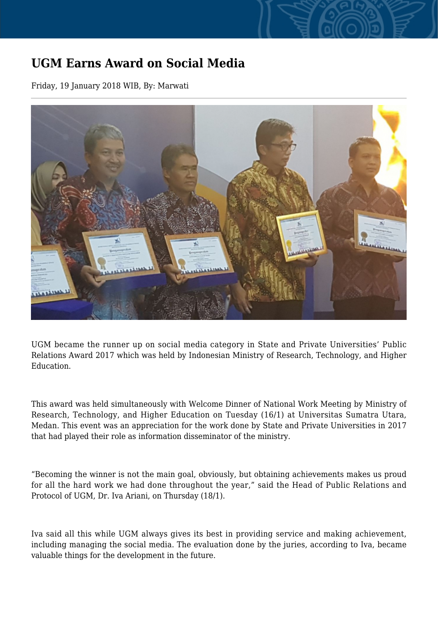## **UGM Earns Award on Social Media**

Friday, 19 January 2018 WIB, By: Marwati



UGM became the runner up on social media category in State and Private Universities' Public Relations Award 2017 which was held by Indonesian Ministry of Research, Technology, and Higher Education.

This award was held simultaneously with Welcome Dinner of National Work Meeting by Ministry of Research, Technology, and Higher Education on Tuesday (16/1) at Universitas Sumatra Utara, Medan. This event was an appreciation for the work done by State and Private Universities in 2017 that had played their role as information disseminator of the ministry.

"Becoming the winner is not the main goal, obviously, but obtaining achievements makes us proud for all the hard work we had done throughout the year," said the Head of Public Relations and Protocol of UGM, Dr. Iva Ariani, on Thursday (18/1).

Iva said all this while UGM always gives its best in providing service and making achievement, including managing the social media. The evaluation done by the juries, according to Iva, became valuable things for the development in the future.